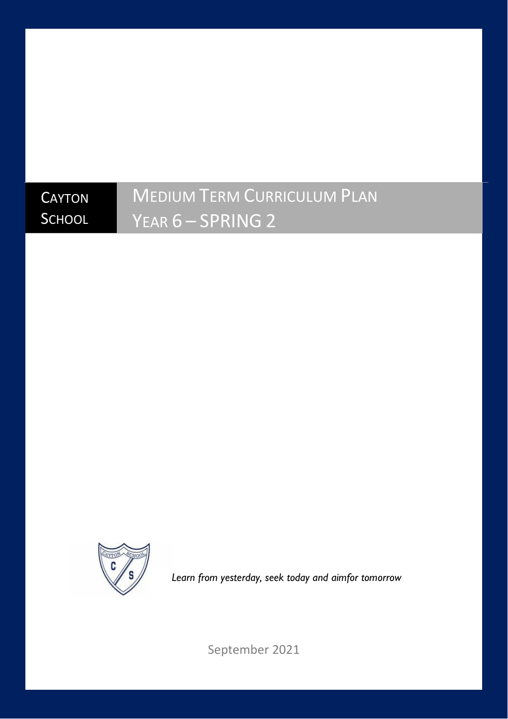# **CAYTON SCHOOL**

# MEDIUM TERM CURRICULUM PLAN YEAR 6 – SPRING 2



*Learn from yesterday, seek today and aimfor tomorrow*

September 2021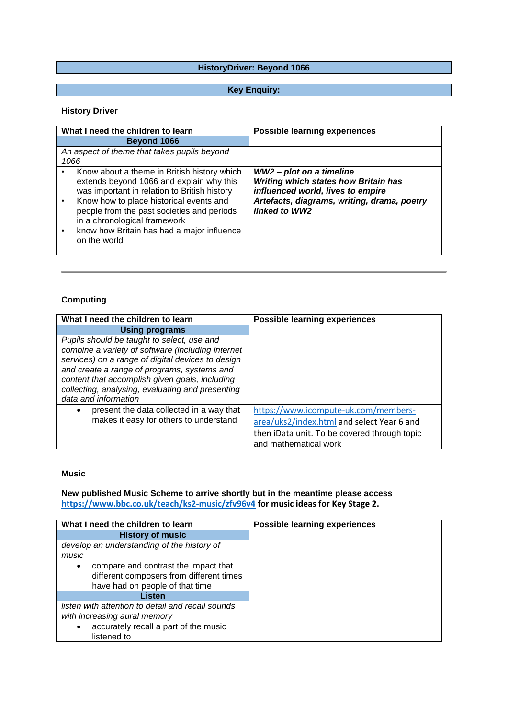#### **HistoryDriver: Beyond 1066**

#### **Key Enquiry:**

#### **History Driver**

| What I need the children to learn                                                                                                                                                                                                                                                                                              | <b>Possible learning experiences</b>                                                                                                                                         |
|--------------------------------------------------------------------------------------------------------------------------------------------------------------------------------------------------------------------------------------------------------------------------------------------------------------------------------|------------------------------------------------------------------------------------------------------------------------------------------------------------------------------|
| Beyond 1066                                                                                                                                                                                                                                                                                                                    |                                                                                                                                                                              |
| An aspect of theme that takes pupils beyond<br>1066                                                                                                                                                                                                                                                                            |                                                                                                                                                                              |
| Know about a theme in British history which<br>extends beyond 1066 and explain why this<br>was important in relation to British history<br>Know how to place historical events and<br>people from the past societies and periods<br>in a chronological framework<br>know how Britain has had a major influence<br>on the world | WW2 - plot on a timeline<br><b>Writing which states how Britain has</b><br>influenced world, lives to empire<br>Artefacts, diagrams, writing, drama, poetry<br>linked to WW2 |

#### **Computing**

| What I need the children to learn                                                                                                                                                                                                                                                                                                 | <b>Possible learning experiences</b>                                                                                                                        |
|-----------------------------------------------------------------------------------------------------------------------------------------------------------------------------------------------------------------------------------------------------------------------------------------------------------------------------------|-------------------------------------------------------------------------------------------------------------------------------------------------------------|
| Using programs                                                                                                                                                                                                                                                                                                                    |                                                                                                                                                             |
| Pupils should be taught to select, use and<br>combine a variety of software (including internet<br>services) on a range of digital devices to design<br>and create a range of programs, systems and<br>content that accomplish given goals, including<br>collecting, analysing, evaluating and presenting<br>data and information |                                                                                                                                                             |
| present the data collected in a way that<br>٠<br>makes it easy for others to understand                                                                                                                                                                                                                                           | https://www.icompute-uk.com/members-<br>area/uks2/index.html and select Year 6 and<br>then iData unit. To be covered through topic<br>and mathematical work |

#### **Music**

**New published Music Scheme to arrive shortly but in the meantime please access <https://www.bbc.co.uk/teach/ks2-music/zfv96v4> for music ideas for Key Stage 2.**

| What I need the children to learn                 | <b>Possible learning experiences</b> |
|---------------------------------------------------|--------------------------------------|
| <b>History of music</b>                           |                                      |
| develop an understanding of the history of        |                                      |
| music                                             |                                      |
| compare and contrast the impact that<br>$\bullet$ |                                      |
| different composers from different times          |                                      |
| have had on people of that time                   |                                      |
| Listen                                            |                                      |
| listen with attention to detail and recall sounds |                                      |
| with increasing aural memory                      |                                      |
| accurately recall a part of the music             |                                      |
| listened to                                       |                                      |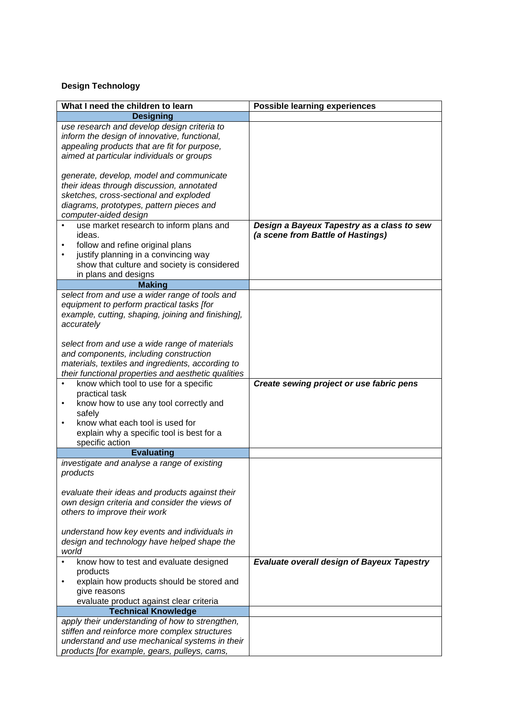# **Design Technology**

| What I need the children to learn                                                                                                                                                                                                             | <b>Possible learning experiences</b>                                            |
|-----------------------------------------------------------------------------------------------------------------------------------------------------------------------------------------------------------------------------------------------|---------------------------------------------------------------------------------|
| <b>Designing</b>                                                                                                                                                                                                                              |                                                                                 |
| use research and develop design criteria to<br>inform the design of innovative, functional,<br>appealing products that are fit for purpose,<br>aimed at particular individuals or groups                                                      |                                                                                 |
| generate, develop, model and communicate<br>their ideas through discussion, annotated<br>sketches, cross-sectional and exploded<br>diagrams, prototypes, pattern pieces and<br>computer-aided design                                          |                                                                                 |
| use market research to inform plans and<br>ideas.<br>follow and refine original plans<br>justify planning in a convincing way<br>$\bullet$<br>show that culture and society is considered<br>in plans and designs                             | Design a Bayeux Tapestry as a class to sew<br>(a scene from Battle of Hastings) |
| <b>Making</b>                                                                                                                                                                                                                                 |                                                                                 |
| select from and use a wider range of tools and<br>equipment to perform practical tasks [for<br>example, cutting, shaping, joining and finishing],<br>accurately                                                                               |                                                                                 |
| select from and use a wide range of materials<br>and components, including construction<br>materials, textiles and ingredients, according to<br>their functional properties and aesthetic qualities                                           |                                                                                 |
| know which tool to use for a specific<br>$\bullet$<br>practical task<br>know how to use any tool correctly and<br>$\bullet$<br>safely<br>know what each tool is used for<br>٠<br>explain why a specific tool is best for a<br>specific action | Create sewing project or use fabric pens                                        |
| <b>Evaluating</b>                                                                                                                                                                                                                             |                                                                                 |
| investigate and analyse a range of existing<br>products                                                                                                                                                                                       |                                                                                 |
| evaluate their ideas and products against their<br>own design criteria and consider the views of<br>others to improve their work                                                                                                              |                                                                                 |
| understand how key events and individuals in<br>design and technology have helped shape the<br>world                                                                                                                                          |                                                                                 |
| know how to test and evaluate designed<br>products<br>explain how products should be stored and<br>give reasons<br>evaluate product against clear criteria                                                                                    | <b>Evaluate overall design of Bayeux Tapestry</b>                               |
| <b>Technical Knowledge</b>                                                                                                                                                                                                                    |                                                                                 |
| apply their understanding of how to strengthen,<br>stiffen and reinforce more complex structures<br>understand and use mechanical systems in their<br>products [for example, gears, pulleys, cams,                                            |                                                                                 |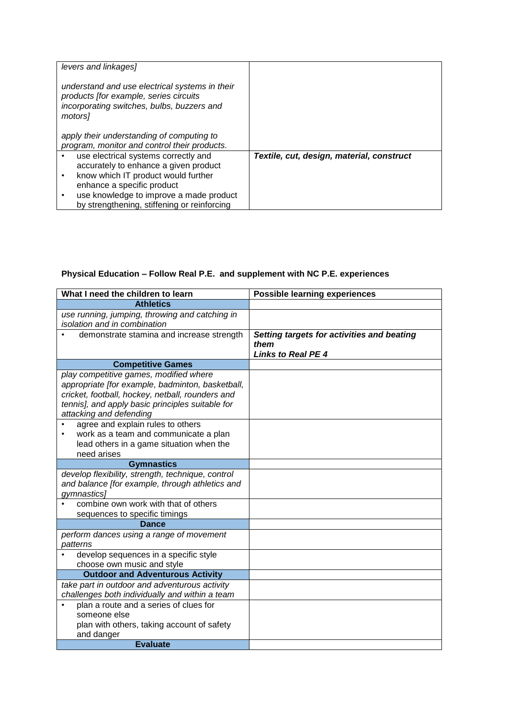| levers and linkages]<br>understand and use electrical systems in their<br>products [for example, series circuits<br>incorporating switches, bulbs, buzzers and<br>motors1 |                                           |
|---------------------------------------------------------------------------------------------------------------------------------------------------------------------------|-------------------------------------------|
| apply their understanding of computing to<br>program, monitor and control their products.                                                                                 |                                           |
| use electrical systems correctly and<br>accurately to enhance a given product<br>know which IT product would further                                                      | Textile, cut, design, material, construct |
| enhance a specific product                                                                                                                                                |                                           |
| use knowledge to improve a made product<br>by strengthening, stiffening or reinforcing                                                                                    |                                           |

# **Physical Education – Follow Real P.E. and supplement with NC P.E. experiences**

| <b>Athletics</b>                                                                                                                                                                                                              |                                                                                 |
|-------------------------------------------------------------------------------------------------------------------------------------------------------------------------------------------------------------------------------|---------------------------------------------------------------------------------|
| use running, jumping, throwing and catching in<br>isolation and in combination                                                                                                                                                |                                                                                 |
| demonstrate stamina and increase strength                                                                                                                                                                                     | Setting targets for activities and beating<br>them<br><b>Links to Real PE 4</b> |
| <b>Competitive Games</b>                                                                                                                                                                                                      |                                                                                 |
| play competitive games, modified where<br>appropriate [for example, badminton, basketball,<br>cricket, football, hockey, netball, rounders and<br>tennis], and apply basic principles suitable for<br>attacking and defending |                                                                                 |
| agree and explain rules to others<br>work as a team and communicate a plan<br>٠<br>lead others in a game situation when the<br>need arises                                                                                    |                                                                                 |
| <b>Gymnastics</b>                                                                                                                                                                                                             |                                                                                 |
| develop flexibility, strength, technique, control<br>and balance [for example, through athletics and<br>gymnastics]                                                                                                           |                                                                                 |
| combine own work with that of others                                                                                                                                                                                          |                                                                                 |
| sequences to specific timings<br><b>Dance</b>                                                                                                                                                                                 |                                                                                 |
| perform dances using a range of movement<br>patterns                                                                                                                                                                          |                                                                                 |
| develop sequences in a specific style<br>choose own music and style                                                                                                                                                           |                                                                                 |
| <b>Outdoor and Adventurous Activity</b>                                                                                                                                                                                       |                                                                                 |
| take part in outdoor and adventurous activity<br>challenges both individually and within a team                                                                                                                               |                                                                                 |
| plan a route and a series of clues for<br>someone else<br>plan with others, taking account of safety<br>and danger<br><b>Evaluate</b>                                                                                         |                                                                                 |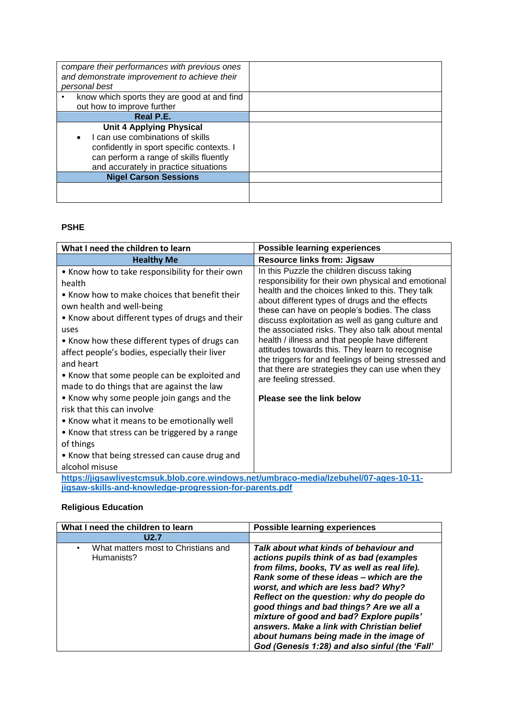| compare their performances with previous ones<br>and demonstrate improvement to achieve their<br>personal best |  |
|----------------------------------------------------------------------------------------------------------------|--|
| know which sports they are good at and find                                                                    |  |
| out how to improve further                                                                                     |  |
| Real P.E.                                                                                                      |  |
| <b>Unit 4 Applying Physical</b>                                                                                |  |
| I can use combinations of skills                                                                               |  |
| confidently in sport specific contexts. I                                                                      |  |
| can perform a range of skills fluently                                                                         |  |
| and accurately in practice situations                                                                          |  |
| <b>Nigel Carson Sessions</b>                                                                                   |  |
|                                                                                                                |  |
|                                                                                                                |  |

#### **PSHE**

| What I need the children to learn                                                                                                                                                                                                                                                                                                                                                                                                                                                                                                                                                                                                                                            | <b>Possible learning experiences</b>                                                                                                                                                                                                                                                                                                                                                                                                                                                                                                                                                                                                    |
|------------------------------------------------------------------------------------------------------------------------------------------------------------------------------------------------------------------------------------------------------------------------------------------------------------------------------------------------------------------------------------------------------------------------------------------------------------------------------------------------------------------------------------------------------------------------------------------------------------------------------------------------------------------------------|-----------------------------------------------------------------------------------------------------------------------------------------------------------------------------------------------------------------------------------------------------------------------------------------------------------------------------------------------------------------------------------------------------------------------------------------------------------------------------------------------------------------------------------------------------------------------------------------------------------------------------------------|
| <b>Healthy Me</b>                                                                                                                                                                                                                                                                                                                                                                                                                                                                                                                                                                                                                                                            | <b>Resource links from: Jigsaw</b>                                                                                                                                                                                                                                                                                                                                                                                                                                                                                                                                                                                                      |
| • Know how to take responsibility for their own<br>health<br>• Know how to make choices that benefit their<br>own health and well-being<br>• Know about different types of drugs and their<br>uses<br>• Know how these different types of drugs can<br>affect people's bodies, especially their liver<br>and heart<br>• Know that some people can be exploited and<br>made to do things that are against the law<br>• Know why some people join gangs and the<br>risk that this can involve<br>• Know what it means to be emotionally well<br>• Know that stress can be triggered by a range<br>of things<br>• Know that being stressed can cause drug and<br>alcohol misuse | In this Puzzle the children discuss taking<br>responsibility for their own physical and emotional<br>health and the choices linked to this. They talk<br>about different types of drugs and the effects<br>these can have on people's bodies. The class<br>discuss exploitation as well as gang culture and<br>the associated risks. They also talk about mental<br>health / illness and that people have different<br>attitudes towards this. They learn to recognise<br>the triggers for and feelings of being stressed and<br>that there are strategies they can use when they<br>are feeling stressed.<br>Please see the link below |
| https://jigsawlivestcmsuk.blob.core.windows.net/umbraco-media/lzebuhel/07-ages-10-11-<br>jigsaw-skills-and-knowledge-progression-for-parents.pdf                                                                                                                                                                                                                                                                                                                                                                                                                                                                                                                             |                                                                                                                                                                                                                                                                                                                                                                                                                                                                                                                                                                                                                                         |

#### **Religious Education**

| What I need the children to learn                 | <b>Possible learning experiences</b>                                                                                                                                                                                                                                                                                                                                                                                                                                                                  |
|---------------------------------------------------|-------------------------------------------------------------------------------------------------------------------------------------------------------------------------------------------------------------------------------------------------------------------------------------------------------------------------------------------------------------------------------------------------------------------------------------------------------------------------------------------------------|
| U2.7                                              |                                                                                                                                                                                                                                                                                                                                                                                                                                                                                                       |
| What matters most to Christians and<br>Humanists? | Talk about what kinds of behaviour and<br>actions pupils think of as bad (examples<br>from films, books, TV as well as real life).<br>Rank some of these ideas - which are the<br>worst, and which are less bad? Why?<br>Reflect on the question: why do people do<br>good things and bad things? Are we all a<br>mixture of good and bad? Explore pupils'<br>answers. Make a link with Christian belief<br>about humans being made in the image of<br>God (Genesis 1:28) and also sinful (the 'Fall' |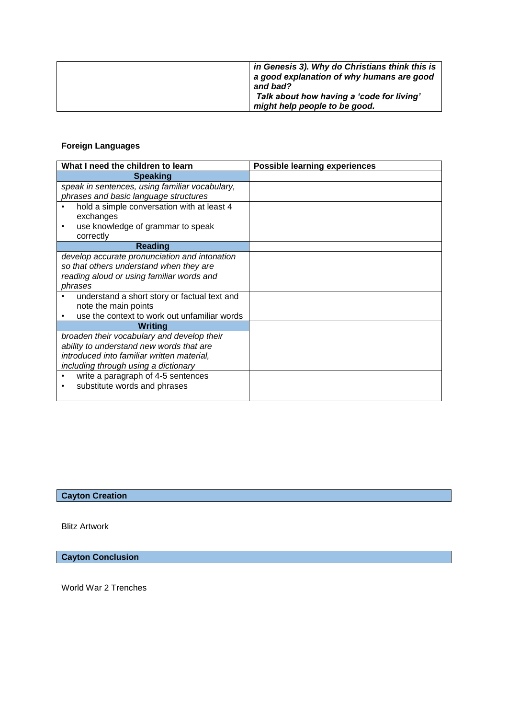| in Genesis 3). Why do Christians think this is<br>a good explanation of why humans are good<br>and bad?<br>Talk about how having a 'code for living'<br>might help people to be good. |
|---------------------------------------------------------------------------------------------------------------------------------------------------------------------------------------|
|                                                                                                                                                                                       |
|                                                                                                                                                                                       |

#### **Foreign Languages**

| What I need the children to learn              | <b>Possible learning experiences</b> |
|------------------------------------------------|--------------------------------------|
| <b>Speaking</b>                                |                                      |
| speak in sentences, using familiar vocabulary, |                                      |
| phrases and basic language structures          |                                      |
| hold a simple conversation with at least 4     |                                      |
| exchanges                                      |                                      |
| use knowledge of grammar to speak<br>٠         |                                      |
| correctly                                      |                                      |
| <b>Reading</b>                                 |                                      |
| develop accurate pronunciation and intonation  |                                      |
| so that others understand when they are        |                                      |
| reading aloud or using familiar words and      |                                      |
| phrases                                        |                                      |
| understand a short story or factual text and   |                                      |
| note the main points                           |                                      |
| use the context to work out unfamiliar words   |                                      |
| Writing                                        |                                      |
| broaden their vocabulary and develop their     |                                      |
| ability to understand new words that are       |                                      |
| introduced into familiar written material,     |                                      |
| including through using a dictionary           |                                      |
| write a paragraph of 4-5 sentences             |                                      |
| substitute words and phrases<br>٠              |                                      |
|                                                |                                      |

# **Cayton Creation**

Blitz Artwork

**Cayton Conclusion**

World War 2 Trenches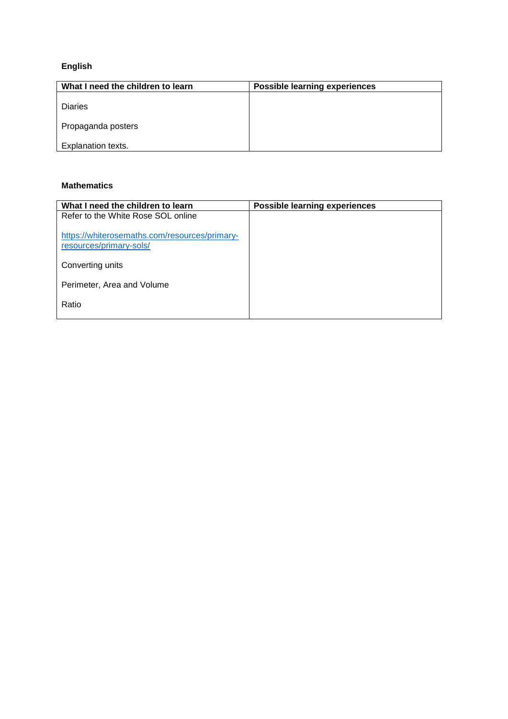# **English**

| What I need the children to learn | <b>Possible learning experiences</b> |
|-----------------------------------|--------------------------------------|
| <b>Diaries</b>                    |                                      |
| Propaganda posters                |                                      |
| Explanation texts.                |                                      |

#### **Mathematics**

| What I need the children to learn                                        | <b>Possible learning experiences</b> |
|--------------------------------------------------------------------------|--------------------------------------|
| Refer to the White Rose SOL online                                       |                                      |
| https://whiterosemaths.com/resources/primary-<br>resources/primary-sols/ |                                      |
| Converting units                                                         |                                      |
| Perimeter, Area and Volume                                               |                                      |
| Ratio                                                                    |                                      |
|                                                                          |                                      |